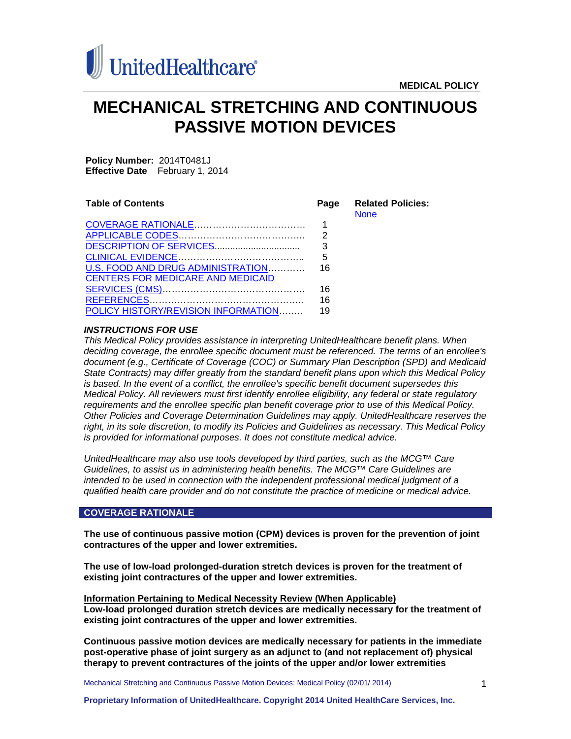

# **MECHANICAL STRETCHING AND CONTINUOUS PASSIVE MOTION DEVICES**

**Policy Number:** 2014T0481J **Effective Date** February 1, 2014

| <b>Table of Contents</b>                 | Page | <b>Related Policies:</b><br><b>None</b> |
|------------------------------------------|------|-----------------------------------------|
|                                          |      |                                         |
|                                          | 2    |                                         |
|                                          | 3    |                                         |
|                                          | 5    |                                         |
| U.S. FOOD AND DRUG ADMINISTRATION        | 16   |                                         |
| <b>CENTERS FOR MEDICARE AND MEDICAID</b> |      |                                         |
|                                          | 16   |                                         |
|                                          | 16   |                                         |
| POLICY HISTORY/REVISION INFORMATION      | 19   |                                         |

# *INSTRUCTIONS FOR USE*

*This Medical Policy provides assistance in interpreting UnitedHealthcare benefit plans. When deciding coverage, the enrollee specific document must be referenced. The terms of an enrollee's document (e.g., Certificate of Coverage (COC) or Summary Plan Description (SPD) and Medicaid State Contracts) may differ greatly from the standard benefit plans upon which this Medical Policy is based. In the event of a conflict, the enrollee's specific benefit document supersedes this Medical Policy. All reviewers must first identify enrollee eligibility, any federal or state regulatory requirements and the enrollee specific plan benefit coverage prior to use of this Medical Policy. Other Policies and Coverage Determination Guidelines may apply. UnitedHealthcare reserves the right, in its sole discretion, to modify its Policies and Guidelines as necessary. This Medical Policy is provided for informational purposes. It does not constitute medical advice.*

*UnitedHealthcare may also use tools developed by third parties, such as the MCG™ Care Guidelines, to assist us in administering health benefits. The MCG™ Care Guidelines are intended to be used in connection with the independent professional medical judgment of a qualified health care provider and do not constitute the practice of medicine or medical advice.*

# <span id="page-0-0"></span>**COVERAGE RATIONALE**

**The use of continuous passive motion (CPM) devices is proven for the prevention of joint contractures of the upper and lower extremities.**

**The use of low-load prolonged-duration stretch devices is proven for the treatment of existing joint contractures of the upper and lower extremities.**

**Information Pertaining to Medical Necessity Review (When Applicable) Low-load prolonged duration stretch devices are medically necessary for the treatment of existing joint contractures of the upper and lower extremities.**

**Continuous passive motion devices are medically necessary for patients in the immediate post-operative phase of joint surgery as an adjunct to (and not replacement of) physical therapy to prevent contractures of the joints of the upper and/or lower extremities**

Mechanical Stretching and Continuous Passive Motion Devices: Medical Policy (02/01/ 2014)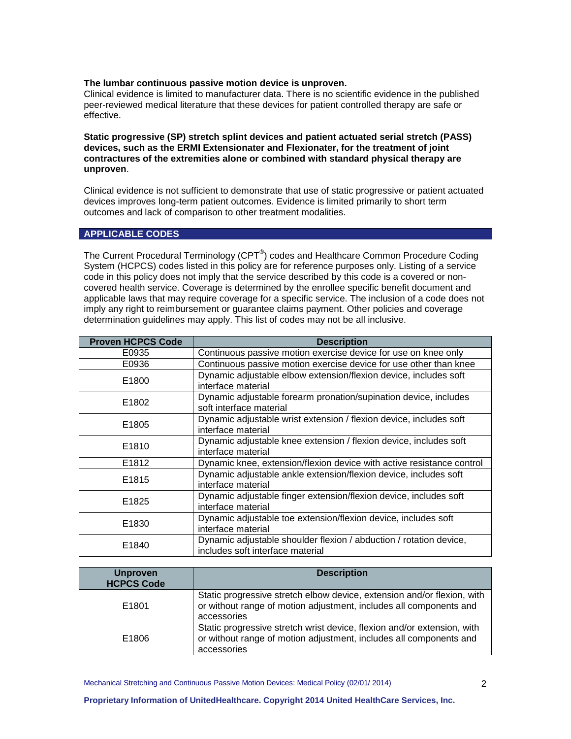#### **The lumbar continuous passive motion device is unproven.**

Clinical evidence is limited to manufacturer data. There is no scientific evidence in the published peer-reviewed medical literature that these devices for patient controlled therapy are safe or effective.

**Static progressive (SP) stretch splint devices and patient actuated serial stretch (PASS) devices, such as the ERMI Extensionater and Flexionater, for the treatment of joint contractures of the extremities alone or combined with standard physical therapy are unproven**.

Clinical evidence is not sufficient to demonstrate that use of static progressive or patient actuated devices improves long-term patient outcomes. Evidence is limited primarily to short term outcomes and lack of comparison to other treatment modalities.

# <span id="page-1-0"></span>**APPLICABLE CODES**

The Current Procedural Terminology (CPT<sup>®</sup>) codes and Healthcare Common Procedure Coding System (HCPCS) codes listed in this policy are for reference purposes only. Listing of a service code in this policy does not imply that the service described by this code is a covered or noncovered health service. Coverage is determined by the enrollee specific benefit document and applicable laws that may require coverage for a specific service. The inclusion of a code does not imply any right to reimbursement or guarantee claims payment. Other policies and coverage determination guidelines may apply. This list of codes may not be all inclusive.

| <b>Proven HCPCS Code</b> | <b>Description</b>                                                                                     |
|--------------------------|--------------------------------------------------------------------------------------------------------|
| E0935                    | Continuous passive motion exercise device for use on knee only                                         |
| E0936                    | Continuous passive motion exercise device for use other than knee                                      |
| E1800                    | Dynamic adjustable elbow extension/flexion device, includes soft<br>interface material                 |
| E1802                    | Dynamic adjustable forearm pronation/supination device, includes<br>soft interface material            |
| E1805                    | Dynamic adjustable wrist extension / flexion device, includes soft<br>interface material               |
| E1810                    | Dynamic adjustable knee extension / flexion device, includes soft<br>interface material                |
| E1812                    | Dynamic knee, extension/flexion device with active resistance control                                  |
| E1815                    | Dynamic adjustable ankle extension/flexion device, includes soft<br>interface material                 |
| E1825                    | Dynamic adjustable finger extension/flexion device, includes soft<br>interface material                |
| E1830                    | Dynamic adjustable toe extension/flexion device, includes soft<br>interface material                   |
| E1840                    | Dynamic adjustable shoulder flexion / abduction / rotation device,<br>includes soft interface material |

| <b>Unproven</b><br><b>HCPCS Code</b> | <b>Description</b>                                                                                                                                           |
|--------------------------------------|--------------------------------------------------------------------------------------------------------------------------------------------------------------|
| E1801                                | Static progressive stretch elbow device, extension and/or flexion, with<br>or without range of motion adjustment, includes all components and<br>accessories |
| E1806                                | Static progressive stretch wrist device, flexion and/or extension, with<br>or without range of motion adjustment, includes all components and<br>accessories |

Mechanical Stretching and Continuous Passive Motion Devices: Medical Policy (02/01/ 2014)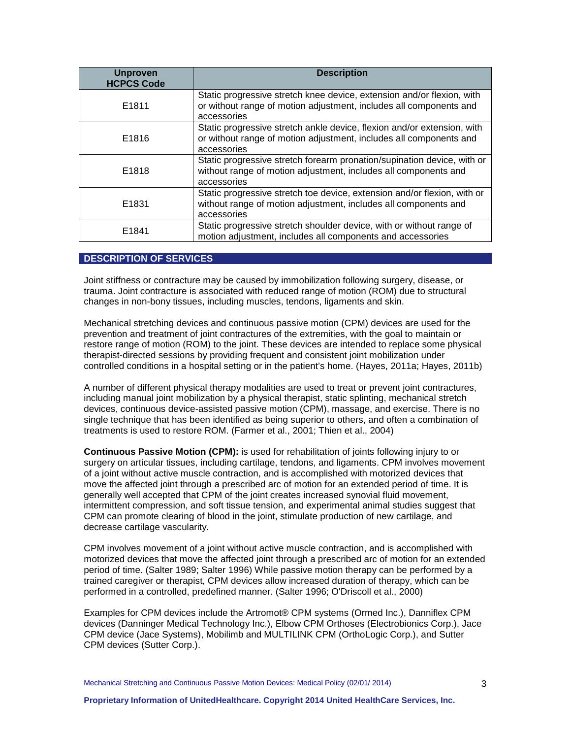| <b>Unproven</b><br><b>HCPCS Code</b> | <b>Description</b>                                                                                                                                           |
|--------------------------------------|--------------------------------------------------------------------------------------------------------------------------------------------------------------|
| E1811                                | Static progressive stretch knee device, extension and/or flexion, with<br>or without range of motion adjustment, includes all components and<br>accessories  |
| E1816                                | Static progressive stretch ankle device, flexion and/or extension, with<br>or without range of motion adjustment, includes all components and<br>accessories |
| E1818                                | Static progressive stretch forearm pronation/supination device, with or<br>without range of motion adjustment, includes all components and<br>accessories    |
| E1831                                | Static progressive stretch toe device, extension and/or flexion, with or<br>without range of motion adjustment, includes all components and<br>accessories   |
| E1841                                | Static progressive stretch shoulder device, with or without range of<br>motion adjustment, includes all components and accessories                           |

# <span id="page-2-0"></span>**DESCRIPTION OF SERVICES**

Joint stiffness or contracture may be caused by immobilization following surgery, disease, or trauma. Joint contracture is associated with reduced range of motion (ROM) due to structural changes in non-bony tissues, including muscles, tendons, ligaments and skin.

Mechanical stretching devices and continuous passive motion (CPM) devices are used for the prevention and treatment of joint contractures of the extremities, with the goal to maintain or restore range of motion (ROM) to the joint. These devices are intended to replace some physical therapist-directed sessions by providing frequent and consistent joint mobilization under controlled conditions in a hospital setting or in the patient's home. (Hayes, 2011a; Hayes, 2011b)

A number of different physical therapy modalities are used to treat or prevent joint contractures, including manual joint mobilization by a physical therapist, static splinting, mechanical stretch devices, continuous device-assisted passive motion (CPM), massage, and exercise. There is no single technique that has been identified as being superior to others, and often a combination of treatments is used to restore ROM. (Farmer et al., 2001; Thien et al., 2004)

**Continuous Passive Motion (CPM):** is used for rehabilitation of joints following injury to or surgery on articular tissues, including cartilage, tendons, and ligaments. CPM involves movement of a joint without active muscle contraction, and is accomplished with motorized devices that move the affected joint through a prescribed arc of motion for an extended period of time. It is generally well accepted that CPM of the joint creates increased synovial fluid movement, intermittent compression, and soft tissue tension, and experimental animal studies suggest that CPM can promote clearing of blood in the joint, stimulate production of new cartilage, and decrease cartilage vascularity.

CPM involves movement of a joint without active muscle contraction, and is accomplished with motorized devices that move the affected joint through a prescribed arc of motion for an extended period of time. (Salter 1989; Salter 1996) While passive motion therapy can be performed by a trained caregiver or therapist, CPM devices allow increased duration of therapy, which can be performed in a controlled, predefined manner. (Salter 1996; O'Driscoll et al., 2000)

Examples for CPM devices include the Artromot® CPM systems (Ormed Inc.), Danniflex CPM devices (Danninger Medical Technology Inc.), Elbow CPM Orthoses (Electrobionics Corp.), Jace CPM device (Jace Systems), Mobilimb and MULTILINK CPM (OrthoLogic Corp.), and Sutter CPM devices (Sutter Corp.).

Mechanical Stretching and Continuous Passive Motion Devices: Medical Policy (02/01/ 2014)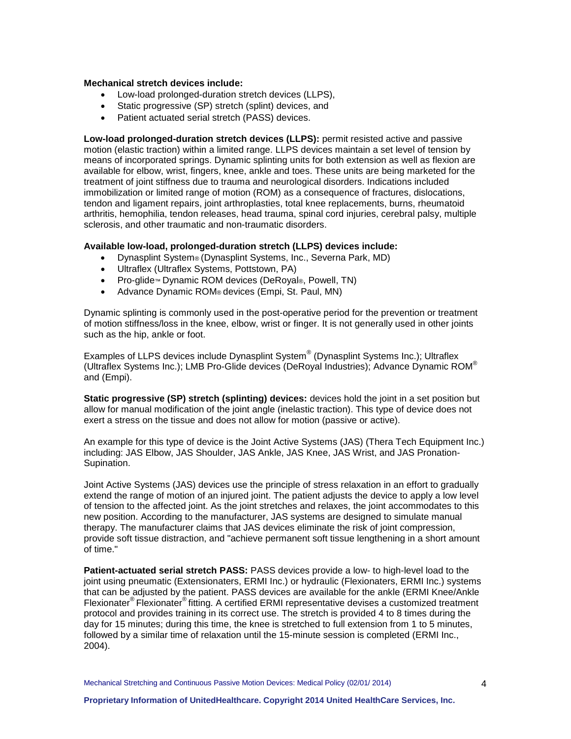### **Mechanical stretch devices include:**

- Low-load prolonged-duration stretch devices (LLPS),
- Static progressive (SP) stretch (splint) devices, and
- Patient actuated serial stretch (PASS) devices.

**Low-load prolonged-duration stretch devices (LLPS):** permit resisted active and passive motion (elastic traction) within a limited range. LLPS devices maintain a set level of tension by means of incorporated springs. Dynamic splinting units for both extension as well as flexion are available for elbow, wrist, fingers, knee, ankle and toes. These units are being marketed for the treatment of joint stiffness due to trauma and neurological disorders. Indications included immobilization or limited range of motion (ROM) as a consequence of fractures, dislocations, tendon and ligament repairs, joint arthroplasties, total knee replacements, burns, rheumatoid arthritis, hemophilia, tendon releases, head trauma, spinal cord injuries, cerebral palsy, multiple sclerosis, and other traumatic and non-traumatic disorders.

# **Available low-load, prolonged-duration stretch (LLPS) devices include:**

- Dynasplint System® (Dynasplint Systems, Inc., Severna Park, MD)
- Ultraflex (Ultraflex Systems, Pottstown, PA)
- Pro-glide™ Dynamic ROM devices (DeRoyal®, Powell, TN)
- Advance Dynamic ROM® devices (Empi, St. Paul, MN)

Dynamic splinting is commonly used in the post-operative period for the prevention or treatment of motion stiffness/loss in the knee, elbow, wrist or finger. It is not generally used in other joints such as the hip, ankle or foot.

Examples of LLPS devices include Dynasplint System® (Dynasplint Systems Inc.); Ultraflex (Ultraflex Systems Inc.); LMB Pro-Glide devices (DeRoyal Industries); Advance Dynamic ROM® and (Empi).

**Static progressive (SP) stretch (splinting) devices:** devices hold the joint in a set position but allow for manual modification of the joint angle (inelastic traction). This type of device does not exert a stress on the tissue and does not allow for motion (passive or active).

An example for this type of device is the Joint Active Systems (JAS) (Thera Tech Equipment Inc.) including: JAS Elbow, JAS Shoulder, JAS Ankle, JAS Knee, JAS Wrist, and JAS Pronation-Supination.

Joint Active Systems (JAS) devices use the principle of stress relaxation in an effort to gradually extend the range of motion of an injured joint. The patient adjusts the device to apply a low level of tension to the affected joint. As the joint stretches and relaxes, the joint accommodates to this new position. According to the manufacturer, JAS systems are designed to simulate manual therapy. The manufacturer claims that JAS devices eliminate the risk of joint compression, provide soft tissue distraction, and "achieve permanent soft tissue lengthening in a short amount of time."

**Patient-actuated serial stretch PASS:** PASS devices provide a low- to high-level load to the joint using pneumatic (Extensionaters, ERMI Inc.) or hydraulic (Flexionaters, ERMI Inc.) systems that can be adjusted by the patient. PASS devices are available for the ankle (ERMI Knee/Ankle Flexionater® Flexionater® fitting. A certified ERMI representative devises a customized treatment protocol and provides training in its correct use. The stretch is provided 4 to 8 times during the day for 15 minutes; during this time, the knee is stretched to full extension from 1 to 5 minutes, followed by a similar time of relaxation until the 15-minute session is completed (ERMI Inc., 2004).

Mechanical Stretching and Continuous Passive Motion Devices: Medical Policy (02/01/ 2014)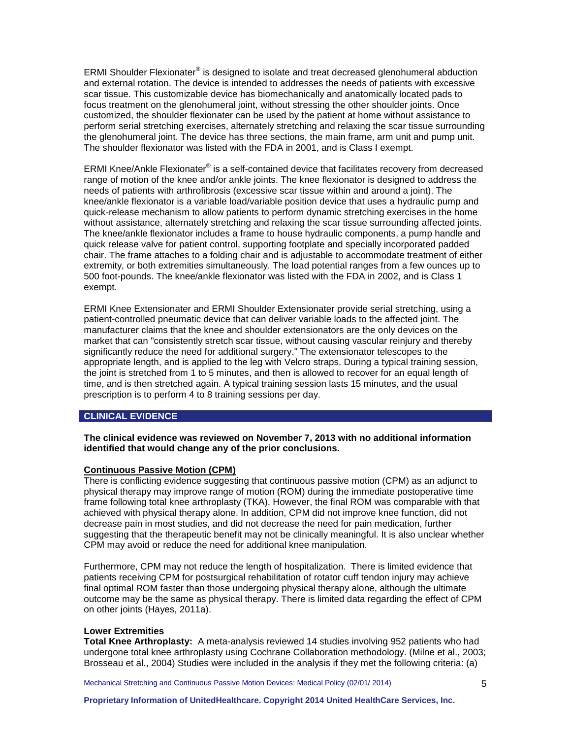ERMI Shoulder Flexionater<sup>®</sup> is designed to isolate and treat decreased glenohumeral abduction and external rotation. The device is intended to addresses the needs of patients with excessive scar tissue. This customizable device has biomechanically and anatomically located pads to focus treatment on the glenohumeral joint, without stressing the other shoulder joints. Once customized, the shoulder flexionater can be used by the patient at home without assistance to perform serial stretching exercises, alternately stretching and relaxing the scar tissue surrounding the glenohumeral joint. The device has three sections, the main frame, arm unit and pump unit. The shoulder flexionator was listed with the FDA in 2001, and is Class I exempt.

ERMI Knee/Ankle Flexionater<sup>®</sup> is a self-contained device that facilitates recovery from decreased range of motion of the knee and/or ankle joints. The knee flexionator is designed to address the needs of patients with arthrofibrosis (excessive scar tissue within and around a joint). The knee/ankle flexionator is a variable load/variable position device that uses a hydraulic pump and quick-release mechanism to allow patients to perform dynamic stretching exercises in the home without assistance, alternately stretching and relaxing the scar tissue surrounding affected joints. The knee/ankle flexionator includes a frame to house hydraulic components, a pump handle and quick release valve for patient control, supporting footplate and specially incorporated padded chair. The frame attaches to a folding chair and is adjustable to accommodate treatment of either extremity, or both extremities simultaneously. The load potential ranges from a few ounces up to 500 foot-pounds. The knee/ankle flexionator was listed with the FDA in 2002, and is Class 1 exempt.

ERMI Knee Extensionater and ERMI Shoulder Extensionater provide serial stretching, using a patient-controlled pneumatic device that can deliver variable loads to the affected joint. The manufacturer claims that the knee and shoulder extensionators are the only devices on the market that can "consistently stretch scar tissue, without causing vascular reinjury and thereby significantly reduce the need for additional surgery." The extensionator telescopes to the appropriate length, and is applied to the leg with Velcro straps. During a typical training session, the joint is stretched from 1 to 5 minutes, and then is allowed to recover for an equal length of time, and is then stretched again. A typical training session lasts 15 minutes, and the usual prescription is to perform 4 to 8 training sessions per day.

### <span id="page-4-0"></span>**CLINICAL EVIDENCE**

## **The clinical evidence was reviewed on November 7, 2013 with no additional information identified that would change any of the prior conclusions.**

#### **Continuous Passive Motion (CPM)**

There is conflicting evidence suggesting that continuous passive motion (CPM) as an adjunct to physical therapy may improve range of motion (ROM) during the immediate postoperative time frame following total knee arthroplasty (TKA). However, the final ROM was comparable with that achieved with physical therapy alone. In addition, CPM did not improve knee function, did not decrease pain in most studies, and did not decrease the need for pain medication, further suggesting that the therapeutic benefit may not be clinically meaningful. It is also unclear whether CPM may avoid or reduce the need for additional knee manipulation.

Furthermore, CPM may not reduce the length of hospitalization. There is limited evidence that patients receiving CPM for postsurgical rehabilitation of rotator cuff tendon injury may achieve final optimal ROM faster than those undergoing physical therapy alone, although the ultimate outcome may be the same as physical therapy. There is limited data regarding the effect of CPM on other joints (Hayes, 2011a).

## **Lower Extremities**

**Total Knee Arthroplasty:** A meta-analysis reviewed 14 studies involving 952 patients who had undergone total knee arthroplasty using Cochrane Collaboration methodology. (Milne et al., 2003; Brosseau et al., 2004) Studies were included in the analysis if they met the following criteria: (a)

Mechanical Stretching and Continuous Passive Motion Devices: Medical Policy (02/01/ 2014)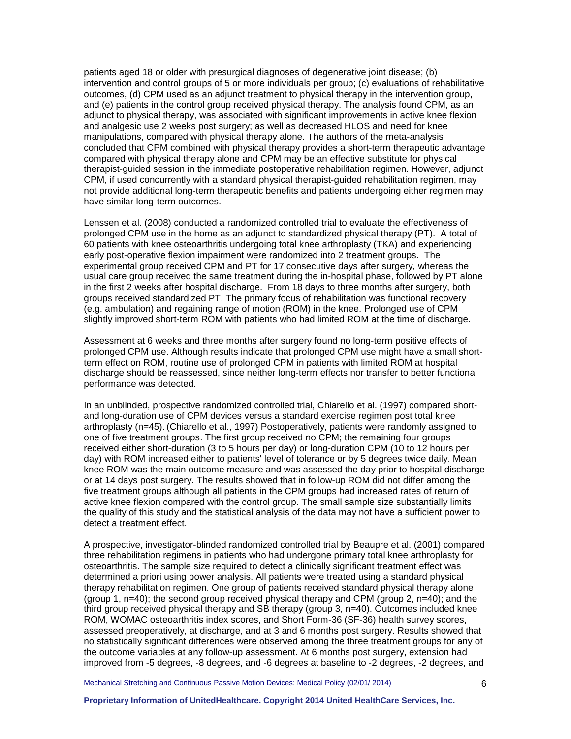patients aged 18 or older with presurgical diagnoses of degenerative joint disease; (b) intervention and control groups of 5 or more individuals per group; (c) evaluations of rehabilitative outcomes, (d) CPM used as an adjunct treatment to physical therapy in the intervention group, and (e) patients in the control group received physical therapy. The analysis found CPM, as an adjunct to physical therapy, was associated with significant improvements in active knee flexion and analgesic use 2 weeks post surgery; as well as decreased HLOS and need for knee manipulations, compared with physical therapy alone. The authors of the meta-analysis concluded that CPM combined with physical therapy provides a short-term therapeutic advantage compared with physical therapy alone and CPM may be an effective substitute for physical therapist-guided session in the immediate postoperative rehabilitation regimen. However, adjunct CPM, if used concurrently with a standard physical therapist-guided rehabilitation regimen, may not provide additional long-term therapeutic benefits and patients undergoing either regimen may have similar long-term outcomes.

Lenssen et al. (2008) conducted a randomized controlled trial to evaluate the effectiveness of prolonged CPM use in the home as an adjunct to standardized physical therapy (PT). A total of 60 patients with knee osteoarthritis undergoing total knee arthroplasty (TKA) and experiencing early post-operative flexion impairment were randomized into 2 treatment groups. The experimental group received CPM and PT for 17 consecutive days after surgery, whereas the usual care group received the same treatment during the in-hospital phase, followed by PT alone in the first 2 weeks after hospital discharge. From 18 days to three months after surgery, both groups received standardized PT. The primary focus of rehabilitation was functional recovery (e.g. ambulation) and regaining range of motion (ROM) in the knee. Prolonged use of CPM slightly improved short-term ROM with patients who had limited ROM at the time of discharge.

Assessment at 6 weeks and three months after surgery found no long-term positive effects of prolonged CPM use. Although results indicate that prolonged CPM use might have a small shortterm effect on ROM, routine use of prolonged CPM in patients with limited ROM at hospital discharge should be reassessed, since neither long-term effects nor transfer to better functional performance was detected.

In an unblinded, prospective randomized controlled trial, Chiarello et al. (1997) compared shortand long-duration use of CPM devices versus a standard exercise regimen post total knee arthroplasty (n=45). (Chiarello et al., 1997) Postoperatively, patients were randomly assigned to one of five treatment groups. The first group received no CPM; the remaining four groups received either short-duration (3 to 5 hours per day) or long-duration CPM (10 to 12 hours per day) with ROM increased either to patients' level of tolerance or by 5 degrees twice daily. Mean knee ROM was the main outcome measure and was assessed the day prior to hospital discharge or at 14 days post surgery. The results showed that in follow-up ROM did not differ among the five treatment groups although all patients in the CPM groups had increased rates of return of active knee flexion compared with the control group. The small sample size substantially limits the quality of this study and the statistical analysis of the data may not have a sufficient power to detect a treatment effect.

A prospective, investigator-blinded randomized controlled trial by Beaupre et al. (2001) compared three rehabilitation regimens in patients who had undergone primary total knee arthroplasty for osteoarthritis. The sample size required to detect a clinically significant treatment effect was determined a priori using power analysis. All patients were treated using a standard physical therapy rehabilitation regimen. One group of patients received standard physical therapy alone (group 1, n=40); the second group received physical therapy and CPM (group 2, n=40); and the third group received physical therapy and SB therapy (group 3, n=40). Outcomes included knee ROM, WOMAC osteoarthritis index scores, and Short Form-36 (SF-36) health survey scores, assessed preoperatively, at discharge, and at 3 and 6 months post surgery. Results showed that no statistically significant differences were observed among the three treatment groups for any of the outcome variables at any follow-up assessment. At 6 months post surgery, extension had improved from -5 degrees, -8 degrees, and -6 degrees at baseline to -2 degrees, -2 degrees, and

Mechanical Stretching and Continuous Passive Motion Devices: Medical Policy (02/01/ 2014)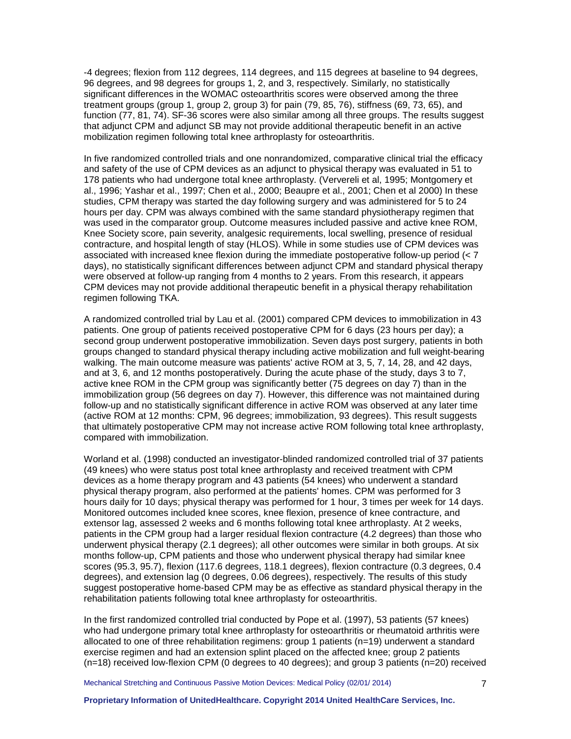-4 degrees; flexion from 112 degrees, 114 degrees, and 115 degrees at baseline to 94 degrees, 96 degrees, and 98 degrees for groups 1, 2, and 3, respectively. Similarly, no statistically significant differences in the WOMAC osteoarthritis scores were observed among the three treatment groups (group 1, group 2, group 3) for pain (79, 85, 76), stiffness (69, 73, 65), and function (77, 81, 74). SF-36 scores were also similar among all three groups. The results suggest that adjunct CPM and adjunct SB may not provide additional therapeutic benefit in an active mobilization regimen following total knee arthroplasty for osteoarthritis.

In five randomized controlled trials and one nonrandomized, comparative clinical trial the efficacy and safety of the use of CPM devices as an adjunct to physical therapy was evaluated in 51 to 178 patients who had undergone total knee arthroplasty. (Ververeli et al, 1995; Montgomery et al., 1996; Yashar et al., 1997; Chen et al., 2000; Beaupre et al., 2001; Chen et al 2000) In these studies, CPM therapy was started the day following surgery and was administered for 5 to 24 hours per day. CPM was always combined with the same standard physiotherapy regimen that was used in the comparator group. Outcome measures included passive and active knee ROM, Knee Society score, pain severity, analgesic requirements, local swelling, presence of residual contracture, and hospital length of stay (HLOS). While in some studies use of CPM devices was associated with increased knee flexion during the immediate postoperative follow-up period (< 7 days), no statistically significant differences between adjunct CPM and standard physical therapy were observed at follow-up ranging from 4 months to 2 years. From this research, it appears CPM devices may not provide additional therapeutic benefit in a physical therapy rehabilitation regimen following TKA.

A randomized controlled trial by Lau et al. (2001) compared CPM devices to immobilization in 43 patients. One group of patients received postoperative CPM for 6 days (23 hours per day); a second group underwent postoperative immobilization. Seven days post surgery, patients in both groups changed to standard physical therapy including active mobilization and full weight-bearing walking. The main outcome measure was patients' active ROM at 3, 5, 7, 14, 28, and 42 days, and at 3, 6, and 12 months postoperatively. During the acute phase of the study, days 3 to 7, active knee ROM in the CPM group was significantly better (75 degrees on day 7) than in the immobilization group (56 degrees on day 7). However, this difference was not maintained during follow-up and no statistically significant difference in active ROM was observed at any later time (active ROM at 12 months: CPM, 96 degrees; immobilization, 93 degrees). This result suggests that ultimately postoperative CPM may not increase active ROM following total knee arthroplasty, compared with immobilization.

Worland et al. (1998) conducted an investigator-blinded randomized controlled trial of 37 patients (49 knees) who were status post total knee arthroplasty and received treatment with CPM devices as a home therapy program and 43 patients (54 knees) who underwent a standard physical therapy program, also performed at the patients' homes. CPM was performed for 3 hours daily for 10 days; physical therapy was performed for 1 hour, 3 times per week for 14 days. Monitored outcomes included knee scores, knee flexion, presence of knee contracture, and extensor lag, assessed 2 weeks and 6 months following total knee arthroplasty. At 2 weeks, patients in the CPM group had a larger residual flexion contracture (4.2 degrees) than those who underwent physical therapy (2.1 degrees); all other outcomes were similar in both groups. At six months follow-up, CPM patients and those who underwent physical therapy had similar knee scores (95.3, 95.7), flexion (117.6 degrees, 118.1 degrees), flexion contracture (0.3 degrees, 0.4 degrees), and extension lag (0 degrees, 0.06 degrees), respectively. The results of this study suggest postoperative home-based CPM may be as effective as standard physical therapy in the rehabilitation patients following total knee arthroplasty for osteoarthritis.

In the first randomized controlled trial conducted by Pope et al. (1997), 53 patients (57 knees) who had undergone primary total knee arthroplasty for osteoarthritis or rheumatoid arthritis were allocated to one of three rehabilitation regimens: group 1 patients (n=19) underwent a standard exercise regimen and had an extension splint placed on the affected knee; group 2 patients  $(n=18)$  received low-flexion CPM (0 degrees to 40 degrees); and group 3 patients (n=20) received

Mechanical Stretching and Continuous Passive Motion Devices: Medical Policy (02/01/ 2014)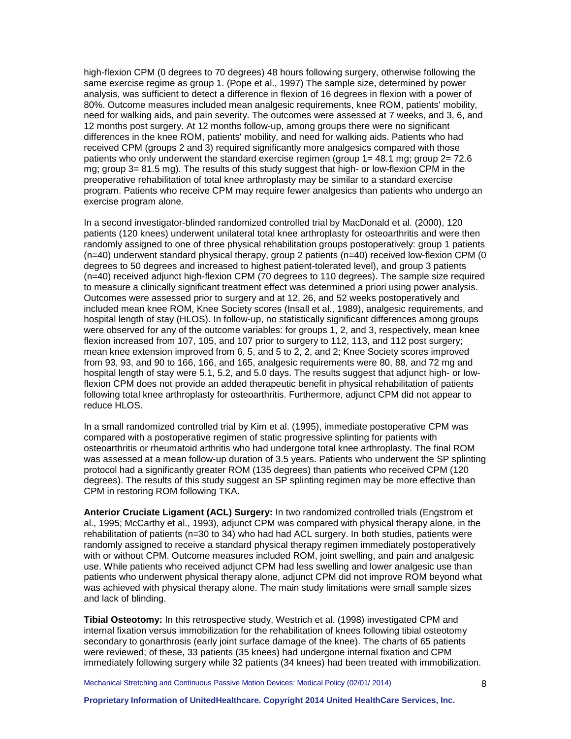high-flexion CPM (0 degrees to 70 degrees) 48 hours following surgery, otherwise following the same exercise regime as group 1. (Pope et al., 1997) The sample size, determined by power analysis, was sufficient to detect a difference in flexion of 16 degrees in flexion with a power of 80%. Outcome measures included mean analgesic requirements, knee ROM, patients' mobility, need for walking aids, and pain severity. The outcomes were assessed at 7 weeks, and 3, 6, and 12 months post surgery. At 12 months follow-up, among groups there were no significant differences in the knee ROM, patients' mobility, and need for walking aids. Patients who had received CPM (groups 2 and 3) required significantly more analgesics compared with those patients who only underwent the standard exercise regimen (group 1= 48.1 mg; group 2= 72.6 mg; group 3= 81.5 mg). The results of this study suggest that high- or low-flexion CPM in the preoperative rehabilitation of total knee arthroplasty may be similar to a standard exercise program. Patients who receive CPM may require fewer analgesics than patients who undergo an exercise program alone.

In a second investigator-blinded randomized controlled trial by MacDonald et al. (2000), 120 patients (120 knees) underwent unilateral total knee arthroplasty for osteoarthritis and were then randomly assigned to one of three physical rehabilitation groups postoperatively: group 1 patients (n=40) underwent standard physical therapy, group 2 patients (n=40) received low-flexion CPM (0 degrees to 50 degrees and increased to highest patient-tolerated level), and group 3 patients (n=40) received adjunct high-flexion CPM (70 degrees to 110 degrees). The sample size required to measure a clinically significant treatment effect was determined a priori using power analysis. Outcomes were assessed prior to surgery and at 12, 26, and 52 weeks postoperatively and included mean knee ROM, Knee Society scores (Insall et al., 1989), analgesic requirements, and hospital length of stay (HLOS). In follow-up, no statistically significant differences among groups were observed for any of the outcome variables: for groups 1, 2, and 3, respectively, mean knee flexion increased from 107, 105, and 107 prior to surgery to 112, 113, and 112 post surgery; mean knee extension improved from 6, 5, and 5 to 2, 2, and 2; Knee Society scores improved from 93, 93, and 90 to 166, 166, and 165, analgesic requirements were 80, 88, and 72 mg and hospital length of stay were 5.1, 5.2, and 5.0 days. The results suggest that adjunct high- or lowflexion CPM does not provide an added therapeutic benefit in physical rehabilitation of patients following total knee arthroplasty for osteoarthritis. Furthermore, adjunct CPM did not appear to reduce HLOS.

In a small randomized controlled trial by Kim et al. (1995), immediate postoperative CPM was compared with a postoperative regimen of static progressive splinting for patients with osteoarthritis or rheumatoid arthritis who had undergone total knee arthroplasty. The final ROM was assessed at a mean follow-up duration of 3.5 years. Patients who underwent the SP splinting protocol had a significantly greater ROM (135 degrees) than patients who received CPM (120 degrees). The results of this study suggest an SP splinting regimen may be more effective than CPM in restoring ROM following TKA.

**Anterior Cruciate Ligament (ACL) Surgery:** In two randomized controlled trials (Engstrom et al., 1995; McCarthy et al., 1993), adjunct CPM was compared with physical therapy alone, in the rehabilitation of patients (n=30 to 34) who had had ACL surgery. In both studies, patients were randomly assigned to receive a standard physical therapy regimen immediately postoperatively with or without CPM. Outcome measures included ROM, joint swelling, and pain and analgesic use. While patients who received adjunct CPM had less swelling and lower analgesic use than patients who underwent physical therapy alone, adjunct CPM did not improve ROM beyond what was achieved with physical therapy alone. The main study limitations were small sample sizes and lack of blinding.

**Tibial Osteotomy:** In this retrospective study, Westrich et al. (1998) investigated CPM and internal fixation versus immobilization for the rehabilitation of knees following tibial osteotomy secondary to gonarthrosis (early joint surface damage of the knee). The charts of 65 patients were reviewed; of these, 33 patients (35 knees) had undergone internal fixation and CPM immediately following surgery while 32 patients (34 knees) had been treated with immobilization.

Mechanical Stretching and Continuous Passive Motion Devices: Medical Policy (02/01/ 2014)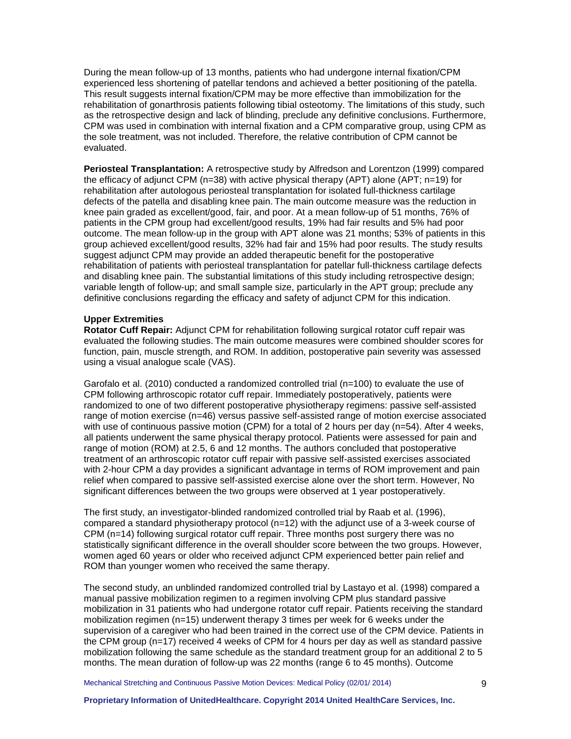During the mean follow-up of 13 months, patients who had undergone internal fixation/CPM experienced less shortening of patellar tendons and achieved a better positioning of the patella. This result suggests internal fixation/CPM may be more effective than immobilization for the rehabilitation of gonarthrosis patients following tibial osteotomy. The limitations of this study, such as the retrospective design and lack of blinding, preclude any definitive conclusions. Furthermore, CPM was used in combination with internal fixation and a CPM comparative group, using CPM as the sole treatment, was not included. Therefore, the relative contribution of CPM cannot be evaluated.

**Periosteal Transplantation:** A retrospective study by Alfredson and Lorentzon (1999) compared the efficacy of adjunct CPM (n=38) with active physical therapy (APT) alone (APT; n=19) for rehabilitation after autologous periosteal transplantation for isolated full-thickness cartilage defects of the patella and disabling knee pain. The main outcome measure was the reduction in knee pain graded as excellent/good, fair, and poor. At a mean follow-up of 51 months, 76% of patients in the CPM group had excellent/good results, 19% had fair results and 5% had poor outcome. The mean follow-up in the group with APT alone was 21 months; 53% of patients in this group achieved excellent/good results, 32% had fair and 15% had poor results. The study results suggest adjunct CPM may provide an added therapeutic benefit for the postoperative rehabilitation of patients with periosteal transplantation for patellar full-thickness cartilage defects and disabling knee pain. The substantial limitations of this study including retrospective design; variable length of follow-up; and small sample size, particularly in the APT group; preclude any definitive conclusions regarding the efficacy and safety of adjunct CPM for this indication.

## **Upper Extremities**

**Rotator Cuff Repair:** Adjunct CPM for rehabilitation following surgical rotator cuff repair was evaluated the following studies. The main outcome measures were combined shoulder scores for function, pain, muscle strength, and ROM. In addition, postoperative pain severity was assessed using a visual analogue scale (VAS).

Garofalo et al. (2010) conducted a randomized controlled trial (n=100) to evaluate the use of CPM following arthroscopic rotator cuff repair. Immediately postoperatively, patients were randomized to one of two different postoperative physiotherapy regimens: passive self-assisted range of motion exercise (n=46) versus passive self-assisted range of motion exercise associated with use of continuous passive motion (CPM) for a total of 2 hours per day (n=54). After 4 weeks, all patients underwent the same physical therapy protocol. Patients were assessed for pain and range of motion (ROM) at 2.5, 6 and 12 months. The authors concluded that postoperative treatment of an arthroscopic rotator cuff repair with passive self-assisted exercises associated with 2-hour CPM a day provides a significant advantage in terms of ROM improvement and pain relief when compared to passive self-assisted exercise alone over the short term. However, No significant differences between the two groups were observed at 1 year postoperatively.

The first study, an investigator-blinded randomized controlled trial by Raab et al. (1996), compared a standard physiotherapy protocol (n=12) with the adjunct use of a 3-week course of CPM (n=14) following surgical rotator cuff repair. Three months post surgery there was no statistically significant difference in the overall shoulder score between the two groups. However, women aged 60 years or older who received adjunct CPM experienced better pain relief and ROM than younger women who received the same therapy.

The second study, an unblinded randomized controlled trial by Lastayo et al. (1998) compared a manual passive mobilization regimen to a regimen involving CPM plus standard passive mobilization in 31 patients who had undergone rotator cuff repair. Patients receiving the standard mobilization regimen (n=15) underwent therapy 3 times per week for 6 weeks under the supervision of a caregiver who had been trained in the correct use of the CPM device. Patients in the CPM group (n=17) received 4 weeks of CPM for 4 hours per day as well as standard passive mobilization following the same schedule as the standard treatment group for an additional 2 to 5 months. The mean duration of follow-up was 22 months (range 6 to 45 months). Outcome

Mechanical Stretching and Continuous Passive Motion Devices: Medical Policy (02/01/ 2014)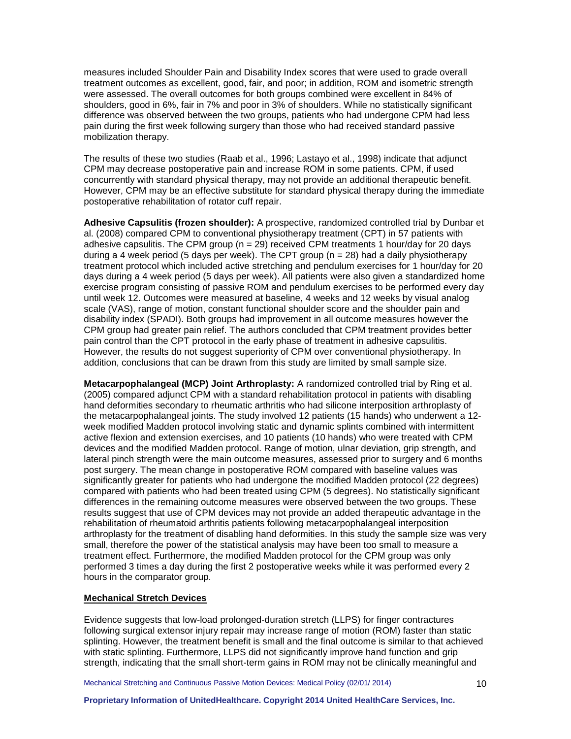measures included Shoulder Pain and Disability Index scores that were used to grade overall treatment outcomes as excellent, good, fair, and poor; in addition, ROM and isometric strength were assessed. The overall outcomes for both groups combined were excellent in 84% of shoulders, good in 6%, fair in 7% and poor in 3% of shoulders. While no statistically significant difference was observed between the two groups, patients who had undergone CPM had less pain during the first week following surgery than those who had received standard passive mobilization therapy.

The results of these two studies (Raab et al., 1996; Lastayo et al., 1998) indicate that adjunct CPM may decrease postoperative pain and increase ROM in some patients. CPM, if used concurrently with standard physical therapy, may not provide an additional therapeutic benefit. However, CPM may be an effective substitute for standard physical therapy during the immediate postoperative rehabilitation of rotator cuff repair.

**Adhesive Capsulitis (frozen shoulder):** A prospective, randomized controlled trial by Dunbar et al. (2008) compared CPM to conventional physiotherapy treatment (CPT) in 57 patients with adhesive capsulitis. The CPM group ( $n = 29$ ) received CPM treatments 1 hour/day for 20 days during a 4 week period (5 days per week). The CPT group ( $n = 28$ ) had a daily physiotherapy treatment protocol which included active stretching and pendulum exercises for 1 hour/day for 20 days during a 4 week period (5 days per week). All patients were also given a standardized home exercise program consisting of passive ROM and pendulum exercises to be performed every day until week 12. Outcomes were measured at baseline, 4 weeks and 12 weeks by visual analog scale (VAS), range of motion, constant functional shoulder score and the shoulder pain and disability index (SPADI). Both groups had improvement in all outcome measures however the CPM group had greater pain relief. The authors concluded that CPM treatment provides better pain control than the CPT protocol in the early phase of treatment in adhesive capsulitis. However, the results do not suggest superiority of CPM over conventional physiotherapy. In addition, conclusions that can be drawn from this study are limited by small sample size.

**Metacarpophalangeal (MCP) Joint Arthroplasty:** A randomized controlled trial by Ring et al. (2005) compared adjunct CPM with a standard rehabilitation protocol in patients with disabling hand deformities secondary to rheumatic arthritis who had silicone interposition arthroplasty of the metacarpophalangeal joints. The study involved 12 patients (15 hands) who underwent a 12 week modified Madden protocol involving static and dynamic splints combined with intermittent active flexion and extension exercises, and 10 patients (10 hands) who were treated with CPM devices and the modified Madden protocol. Range of motion, ulnar deviation, grip strength, and lateral pinch strength were the main outcome measures, assessed prior to surgery and 6 months post surgery. The mean change in postoperative ROM compared with baseline values was significantly greater for patients who had undergone the modified Madden protocol (22 degrees) compared with patients who had been treated using CPM (5 degrees). No statistically significant differences in the remaining outcome measures were observed between the two groups. These results suggest that use of CPM devices may not provide an added therapeutic advantage in the rehabilitation of rheumatoid arthritis patients following metacarpophalangeal interposition arthroplasty for the treatment of disabling hand deformities. In this study the sample size was very small, therefore the power of the statistical analysis may have been too small to measure a treatment effect. Furthermore, the modified Madden protocol for the CPM group was only performed 3 times a day during the first 2 postoperative weeks while it was performed every 2 hours in the comparator group.

# **Mechanical Stretch Devices**

Evidence suggests that low-load prolonged-duration stretch (LLPS) for finger contractures following surgical extensor injury repair may increase range of motion (ROM) faster than static splinting. However, the treatment benefit is small and the final outcome is similar to that achieved with static splinting. Furthermore, LLPS did not significantly improve hand function and grip strength, indicating that the small short-term gains in ROM may not be clinically meaningful and

Mechanical Stretching and Continuous Passive Motion Devices: Medical Policy (02/01/ 2014)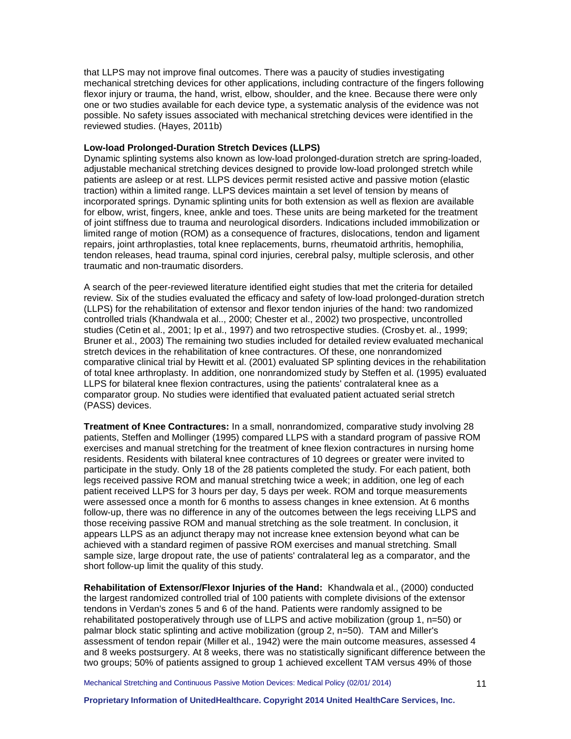that LLPS may not improve final outcomes. There was a paucity of studies investigating mechanical stretching devices for other applications, including contracture of the fingers following flexor injury or trauma, the hand, wrist, elbow, shoulder, and the knee. Because there were only one or two studies available for each device type, a systematic analysis of the evidence was not possible. No safety issues associated with mechanical stretching devices were identified in the reviewed studies. (Hayes, 2011b)

#### **Low-load Prolonged-Duration Stretch Devices (LLPS)**

Dynamic splinting systems also known as low-load prolonged-duration stretch are spring-loaded, adjustable mechanical stretching devices designed to provide low-load prolonged stretch while patients are asleep or at rest. LLPS devices permit resisted active and passive motion (elastic traction) within a limited range. LLPS devices maintain a set level of tension by means of incorporated springs. Dynamic splinting units for both extension as well as flexion are available for elbow, wrist, fingers, knee, ankle and toes. These units are being marketed for the treatment of joint stiffness due to trauma and neurological disorders. Indications included immobilization or limited range of motion (ROM) as a consequence of fractures, dislocations, tendon and ligament repairs, joint arthroplasties, total knee replacements, burns, rheumatoid arthritis, hemophilia, tendon releases, head trauma, spinal cord injuries, cerebral palsy, multiple sclerosis, and other traumatic and non-traumatic disorders.

A search of the peer-reviewed literature identified eight studies that met the criteria for detailed review. Six of the studies evaluated the efficacy and safety of low-load prolonged-duration stretch (LLPS) for the rehabilitation of extensor and flexor tendon injuries of the hand: two randomized controlled trials (Khandwala et al.., 2000; Chester et al., 2002) two prospective, uncontrolled studies (Cetin et al., 2001; Ip et al., 1997) and two retrospective studies. (Crosby et. al., 1999; Bruner et al., 2003) The remaining two studies included for detailed review evaluated mechanical stretch devices in the rehabilitation of knee contractures. Of these, one nonrandomized comparative clinical trial by Hewitt et al. (2001) evaluated SP splinting devices in the rehabilitation of total knee arthroplasty. In addition, one nonrandomized study by Steffen et al. (1995) evaluated LLPS for bilateral knee flexion contractures, using the patients' contralateral knee as a comparator group. No studies were identified that evaluated patient actuated serial stretch (PASS) devices.

**Treatment of Knee Contractures:** In a small, nonrandomized, comparative study involving 28 patients, Steffen and Mollinger (1995) compared LLPS with a standard program of passive ROM exercises and manual stretching for the treatment of knee flexion contractures in nursing home residents. Residents with bilateral knee contractures of 10 degrees or greater were invited to participate in the study. Only 18 of the 28 patients completed the study. For each patient, both legs received passive ROM and manual stretching twice a week; in addition, one leg of each patient received LLPS for 3 hours per day, 5 days per week. ROM and torque measurements were assessed once a month for 6 months to assess changes in knee extension. At 6 months follow-up, there was no difference in any of the outcomes between the legs receiving LLPS and those receiving passive ROM and manual stretching as the sole treatment. In conclusion, it appears LLPS as an adjunct therapy may not increase knee extension beyond what can be achieved with a standard regimen of passive ROM exercises and manual stretching. Small sample size, large dropout rate, the use of patients' contralateral leg as a comparator, and the short follow-up limit the quality of this study.

**Rehabilitation of Extensor/Flexor Injuries of the Hand:** Khandwala et al., (2000) conducted the largest randomized controlled trial of 100 patients with complete divisions of the extensor tendons in Verdan's zones 5 and 6 of the hand. Patients were randomly assigned to be rehabilitated postoperatively through use of LLPS and active mobilization (group 1, n=50) or palmar block static splinting and active mobilization (group 2, n=50). TAM and Miller's assessment of tendon repair (Miller et al., 1942) were the main outcome measures, assessed 4 and 8 weeks postsurgery. At 8 weeks, there was no statistically significant difference between the two groups; 50% of patients assigned to group 1 achieved excellent TAM versus 49% of those

Mechanical Stretching and Continuous Passive Motion Devices: Medical Policy (02/01/ 2014)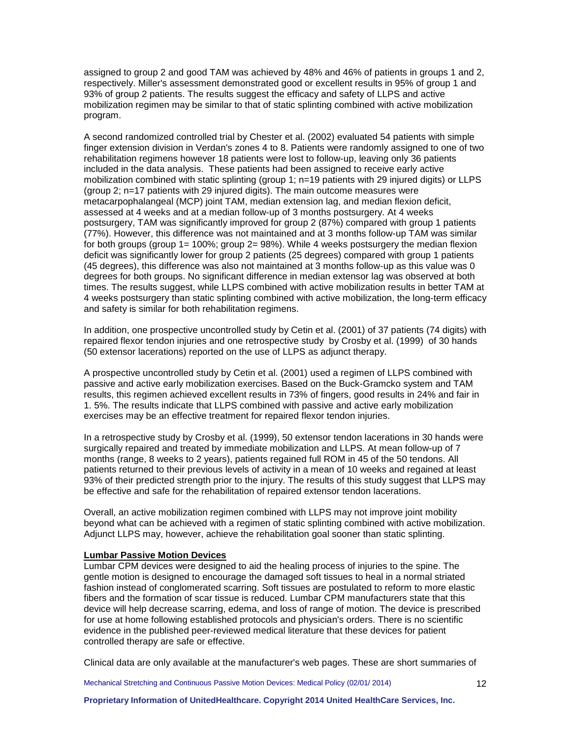assigned to group 2 and good TAM was achieved by 48% and 46% of patients in groups 1 and 2, respectively. Miller's assessment demonstrated good or excellent results in 95% of group 1 and 93% of group 2 patients. The results suggest the efficacy and safety of LLPS and active mobilization regimen may be similar to that of static splinting combined with active mobilization program.

A second randomized controlled trial by Chester et al. (2002) evaluated 54 patients with simple finger extension division in Verdan's zones 4 to 8. Patients were randomly assigned to one of two rehabilitation regimens however 18 patients were lost to follow-up, leaving only 36 patients included in the data analysis. These patients had been assigned to receive early active mobilization combined with static splinting (group 1; n=19 patients with 29 injured digits) or LLPS (group 2; n=17 patients with 29 injured digits). The main outcome measures were metacarpophalangeal (MCP) joint TAM, median extension lag, and median flexion deficit, assessed at 4 weeks and at a median follow-up of 3 months postsurgery. At 4 weeks postsurgery, TAM was significantly improved for group 2 (87%) compared with group 1 patients (77%). However, this difference was not maintained and at 3 months follow-up TAM was similar for both groups (group 1= 100%; group 2= 98%). While 4 weeks postsurgery the median flexion deficit was significantly lower for group 2 patients (25 degrees) compared with group 1 patients (45 degrees), this difference was also not maintained at 3 months follow-up as this value was 0 degrees for both groups. No significant difference in median extensor lag was observed at both times. The results suggest, while LLPS combined with active mobilization results in better TAM at 4 weeks postsurgery than static splinting combined with active mobilization, the long-term efficacy and safety is similar for both rehabilitation regimens.

In addition, one prospective uncontrolled study by Cetin et al. (2001) of 37 patients (74 digits) with repaired flexor tendon injuries and one retrospective study by Crosby et al. (1999) of 30 hands (50 extensor lacerations) reported on the use of LLPS as adjunct therapy.

A prospective uncontrolled study by Cetin et al. (2001) used a regimen of LLPS combined with passive and active early mobilization exercises. Based on the Buck-Gramcko system and TAM results, this regimen achieved excellent results in 73% of fingers, good results in 24% and fair in 1. 5%. The results indicate that LLPS combined with passive and active early mobilization exercises may be an effective treatment for repaired flexor tendon injuries.

In a retrospective study by Crosby et al. (1999), 50 extensor tendon lacerations in 30 hands were surgically repaired and treated by immediate mobilization and LLPS. At mean follow-up of 7 months (range, 8 weeks to 2 years), patients regained full ROM in 45 of the 50 tendons. All patients returned to their previous levels of activity in a mean of 10 weeks and regained at least 93% of their predicted strength prior to the injury. The results of this study suggest that LLPS may be effective and safe for the rehabilitation of repaired extensor tendon lacerations.

Overall, an active mobilization regimen combined with LLPS may not improve joint mobility beyond what can be achieved with a regimen of static splinting combined with active mobilization. Adjunct LLPS may, however, achieve the rehabilitation goal sooner than static splinting.

### **Lumbar Passive Motion Devices**

Lumbar CPM devices were designed to aid the healing process of injuries to the spine. The gentle motion is designed to encourage the damaged soft tissues to heal in a normal striated fashion instead of conglomerated scarring. Soft tissues are postulated to reform to more elastic fibers and the formation of scar tissue is reduced. Lumbar CPM manufacturers state that this device will help decrease scarring, edema, and loss of range of motion. The device is prescribed for use at home following established protocols and physician's orders. There is no scientific evidence in the published peer-reviewed medical literature that these devices for patient controlled therapy are safe or effective.

Clinical data are only available at the manufacturer's web pages. These are short summaries of

Mechanical Stretching and Continuous Passive Motion Devices: Medical Policy (02/01/ 2014)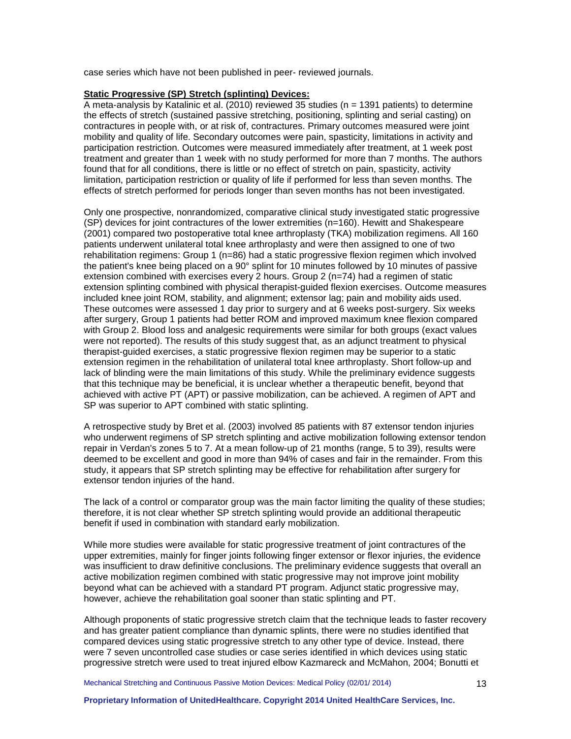case series which have not been published in peer- reviewed journals.

# **Static Progressive (SP) Stretch (splinting) Devices:**

A meta-analysis by Katalinic et al. (2010) reviewed  $35$  studies (n = 1391 patients) to determine the effects of stretch (sustained passive stretching, positioning, splinting and serial casting) on contractures in people with, or at risk of, contractures. Primary outcomes measured were joint mobility and quality of life. Secondary outcomes were pain, spasticity, limitations in activity and participation restriction. Outcomes were measured immediately after treatment, at 1 week post treatment and greater than 1 week with no study performed for more than 7 months. The authors found that for all conditions, there is little or no effect of stretch on pain, spasticity, activity limitation, participation restriction or quality of life if performed for less than seven months. The effects of stretch performed for periods longer than seven months has not been investigated.

Only one prospective, nonrandomized, comparative clinical study investigated static progressive (SP) devices for joint contractures of the lower extremities (n=160). Hewitt and Shakespeare (2001) compared two postoperative total knee arthroplasty (TKA) mobilization regimens. All 160 patients underwent unilateral total knee arthroplasty and were then assigned to one of two rehabilitation regimens: Group 1 (n=86) had a static progressive flexion regimen which involved the patient's knee being placed on a 90° splint for 10 minutes followed by 10 minutes of passive extension combined with exercises every 2 hours. Group 2 (n=74) had a regimen of static extension splinting combined with physical therapist-guided flexion exercises. Outcome measures included knee joint ROM, stability, and alignment; extensor lag; pain and mobility aids used. These outcomes were assessed 1 day prior to surgery and at 6 weeks post-surgery. Six weeks after surgery, Group 1 patients had better ROM and improved maximum knee flexion compared with Group 2. Blood loss and analgesic requirements were similar for both groups (exact values were not reported). The results of this study suggest that, as an adjunct treatment to physical therapist-guided exercises, a static progressive flexion regimen may be superior to a static extension regimen in the rehabilitation of unilateral total knee arthroplasty. Short follow-up and lack of blinding were the main limitations of this study. While the preliminary evidence suggests that this technique may be beneficial, it is unclear whether a therapeutic benefit, beyond that achieved with active PT (APT) or passive mobilization, can be achieved. A regimen of APT and SP was superior to APT combined with static splinting.

A retrospective study by Bret et al. (2003) involved 85 patients with 87 extensor tendon injuries who underwent regimens of SP stretch splinting and active mobilization following extensor tendon repair in Verdan's zones 5 to 7. At a mean follow-up of 21 months (range, 5 to 39), results were deemed to be excellent and good in more than 94% of cases and fair in the remainder. From this study, it appears that SP stretch splinting may be effective for rehabilitation after surgery for extensor tendon injuries of the hand.

The lack of a control or comparator group was the main factor limiting the quality of these studies; therefore, it is not clear whether SP stretch splinting would provide an additional therapeutic benefit if used in combination with standard early mobilization.

While more studies were available for static progressive treatment of joint contractures of the upper extremities, mainly for finger joints following finger extensor or flexor injuries, the evidence was insufficient to draw definitive conclusions. The preliminary evidence suggests that overall an active mobilization regimen combined with static progressive may not improve joint mobility beyond what can be achieved with a standard PT program. Adjunct static progressive may, however, achieve the rehabilitation goal sooner than static splinting and PT.

Although proponents of static progressive stretch claim that the technique leads to faster recovery and has greater patient compliance than dynamic splints, there were no studies identified that compared devices using static progressive stretch to any other type of device. Instead, there were 7 seven uncontrolled case studies or case series identified in which devices using static progressive stretch were used to treat injured elbow Kazmareck and McMahon, 2004; Bonutti et

Mechanical Stretching and Continuous Passive Motion Devices: Medical Policy (02/01/ 2014)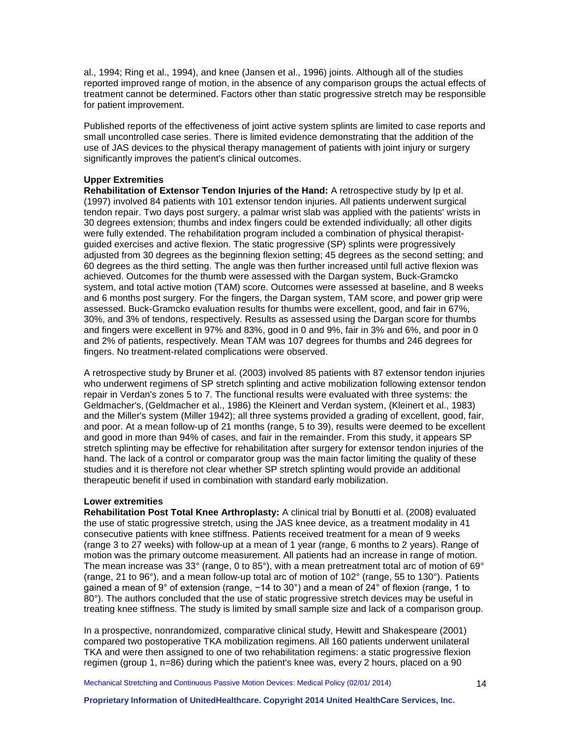al., 1994; Ring et al., 1994), and knee (Jansen et al., 1996) joints. Although all of the studies reported improved range of motion, in the absence of any comparison groups the actual effects of treatment cannot be determined. Factors other than static progressive stretch may be responsible for patient improvement.

Published reports of the effectiveness of joint active system splints are limited to case reports and small uncontrolled case series. There is limited evidence demonstrating that the addition of the use of JAS devices to the physical therapy management of patients with joint injury or surgery significantly improves the patient's clinical outcomes.

#### **Upper Extremities**

**Rehabilitation of Extensor Tendon Injuries of the Hand:** A retrospective study by Ip et al. (1997) involved 84 patients with 101 extensor tendon injuries. All patients underwent surgical tendon repair. Two days post surgery, a palmar wrist slab was applied with the patients' wrists in 30 degrees extension; thumbs and index fingers could be extended individually; all other digits were fully extended. The rehabilitation program included a combination of physical therapistguided exercises and active flexion. The static progressive (SP) splints were progressively adjusted from 30 degrees as the beginning flexion setting; 45 degrees as the second setting; and 60 degrees as the third setting. The angle was then further increased until full active flexion was achieved. Outcomes for the thumb were assessed with the Dargan system, Buck-Gramcko system, and total active motion (TAM) score. Outcomes were assessed at baseline, and 8 weeks and 6 months post surgery. For the fingers, the Dargan system, TAM score, and power grip were assessed. Buck-Gramcko evaluation results for thumbs were excellent, good, and fair in 67%, 30%, and 3% of tendons, respectively. Results as assessed using the Dargan score for thumbs and fingers were excellent in 97% and 83%, good in 0 and 9%, fair in 3% and 6%, and poor in 0 and 2% of patients, respectively. Mean TAM was 107 degrees for thumbs and 246 degrees for fingers. No treatment-related complications were observed.

A retrospective study by Bruner et al. (2003) involved 85 patients with 87 extensor tendon injuries who underwent regimens of SP stretch splinting and active mobilization following extensor tendon repair in Verdan's zones 5 to 7. The functional results were evaluated with three systems: the Geldmacher's, (Geldmacher et al., 1986) the Kleinert and Verdan system, (Kleinert et al., 1983) and the Miller's system (Miller 1942); all three systems provided a grading of excellent, good, fair, and poor. At a mean follow-up of 21 months (range, 5 to 39), results were deemed to be excellent and good in more than 94% of cases, and fair in the remainder. From this study, it appears SP stretch splinting may be effective for rehabilitation after surgery for extensor tendon injuries of the hand. The lack of a control or comparator group was the main factor limiting the quality of these studies and it is therefore not clear whether SP stretch splinting would provide an additional therapeutic benefit if used in combination with standard early mobilization.

#### **Lower extremities**

**Rehabilitation Post Total Knee Arthroplasty:** A clinical trial by Bonutti et al. (2008) evaluated the use of static progressive stretch, using the JAS knee device, as a treatment modality in 41 consecutive patients with knee stiffness. Patients received treatment for a mean of 9 weeks (range 3 to 27 weeks) with follow-up at a mean of 1 year (range, 6 months to 2 years). Range of motion was the primary outcome measurement. All patients had an increase in range of motion. The mean increase was 33° (range, 0 to 85°), with a mean pretreatment total arc of motion of 69° (range, 21 to 96°), and a mean follow-up total arc of motion of 102° (range, 55 to 130°). Patients gained a mean of 9° of extension (range, -14 to 30°) and a mean of 24° of flexion (range, 1 to 80°). The authors concluded that the use of static progressive stretch devices may be useful in treating knee stiffness. The study is limited by small sample size and lack of a comparison group.

In a prospective, nonrandomized, comparative clinical study, Hewitt and Shakespeare (2001) compared two postoperative TKA mobilization regimens. All 160 patients underwent unilateral TKA and were then assigned to one of two rehabilitation regimens: a static progressive flexion regimen (group 1, n=86) during which the patient's knee was, every 2 hours, placed on a 90

Mechanical Stretching and Continuous Passive Motion Devices: Medical Policy (02/01/ 2014)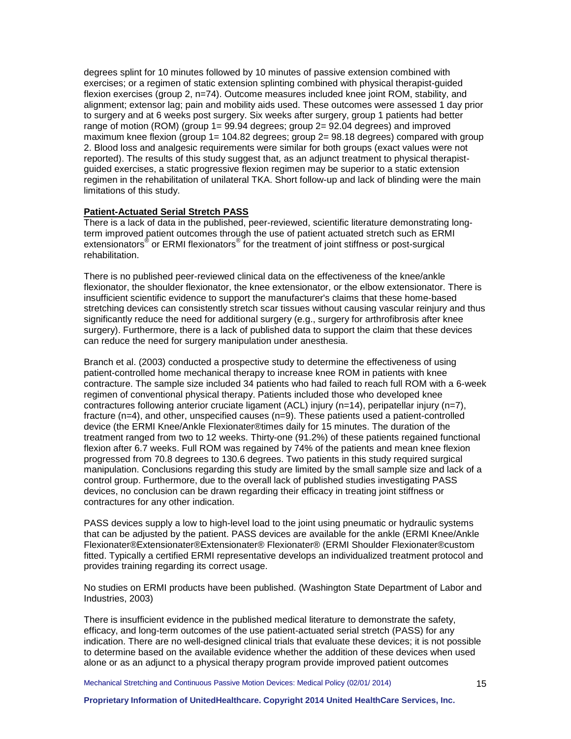degrees splint for 10 minutes followed by 10 minutes of passive extension combined with exercises; or a regimen of static extension splinting combined with physical therapist-guided flexion exercises (group 2, n=74). Outcome measures included knee joint ROM, stability, and alignment; extensor lag; pain and mobility aids used. These outcomes were assessed 1 day prior to surgery and at 6 weeks post surgery. Six weeks after surgery, group 1 patients had better range of motion (ROM) (group 1= 99.94 degrees; group 2= 92.04 degrees) and improved maximum knee flexion (group 1= 104.82 degrees; group 2= 98.18 degrees) compared with group 2. Blood loss and analgesic requirements were similar for both groups (exact values were not reported). The results of this study suggest that, as an adjunct treatment to physical therapistguided exercises, a static progressive flexion regimen may be superior to a static extension regimen in the rehabilitation of unilateral TKA. Short follow-up and lack of blinding were the main limitations of this study.

## **Patient-Actuated Serial Stretch PASS**

There is a lack of data in the published, peer-reviewed, scientific literature demonstrating longterm improved patient outcomes through the use of patient actuated stretch such as ERMI extensionators<sup>®</sup> or ERMI flexionators<sup>®</sup> for the treatment of joint stiffness or post-surgical rehabilitation.

There is no published peer-reviewed clinical data on the effectiveness of the knee/ankle flexionator, the shoulder flexionator, the knee extensionator, or the elbow extensionator. There is insufficient scientific evidence to support the manufacturer's claims that these home-based stretching devices can consistently stretch scar tissues without causing vascular reinjury and thus significantly reduce the need for additional surgery (e.g., surgery for arthrofibrosis after knee surgery). Furthermore, there is a lack of published data to support the claim that these devices can reduce the need for surgery manipulation under anesthesia.

Branch et al. (2003) conducted a prospective study to determine the effectiveness of using patient-controlled home mechanical therapy to increase knee ROM in patients with knee contracture. The sample size included 34 patients who had failed to reach full ROM with a 6-week regimen of conventional physical therapy. Patients included those who developed knee contractures following anterior cruciate ligament (ACL) injury (n=14), peripatellar injury (n=7), fracture (n=4), and other, unspecified causes (n=9). These patients used a patient-controlled device (the ERMI Knee/Ankle Flexionater®times daily for 15 minutes. The duration of the treatment ranged from two to 12 weeks. Thirty-one (91.2%) of these patients regained functional flexion after 6.7 weeks. Full ROM was regained by 74% of the patients and mean knee flexion progressed from 70.8 degrees to 130.6 degrees. Two patients in this study required surgical manipulation. Conclusions regarding this study are limited by the small sample size and lack of a control group. Furthermore, due to the overall lack of published studies investigating PASS devices, no conclusion can be drawn regarding their efficacy in treating joint stiffness or contractures for any other indication.

PASS devices supply a low to high-level load to the joint using pneumatic or hydraulic systems that can be adjusted by the patient. PASS devices are available for the ankle (ERMI Knee/Ankle Flexionater®Extensionater®Extensionater® Flexionater® (ERMI Shoulder Flexionater®custom fitted. Typically a certified ERMI representative develops an individualized treatment protocol and provides training regarding its correct usage.

No studies on ERMI products have been published. (Washington State Department of Labor and Industries, 2003)

There is insufficient evidence in the published medical literature to demonstrate the safety, efficacy, and long-term outcomes of the use patient-actuated serial stretch (PASS) for any indication. There are no well-designed clinical trials that evaluate these devices; it is not possible to determine based on the available evidence whether the addition of these devices when used alone or as an adjunct to a physical therapy program provide improved patient outcomes

Mechanical Stretching and Continuous Passive Motion Devices: Medical Policy (02/01/ 2014)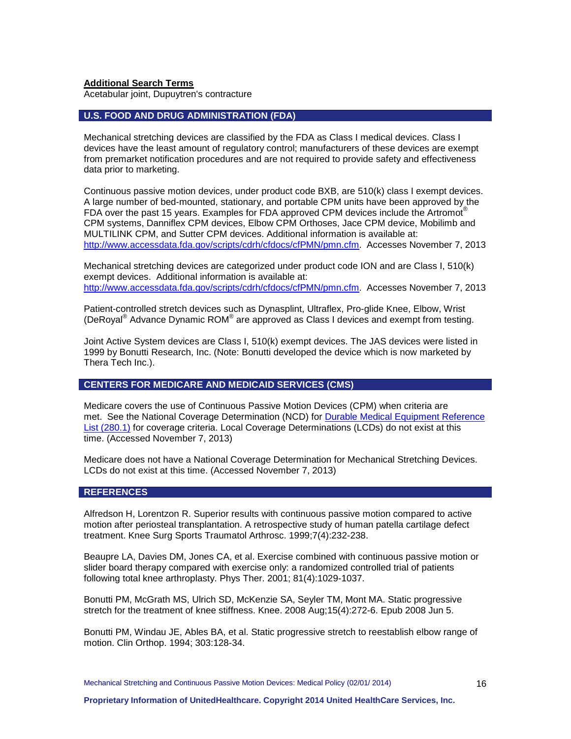**Additional Search Terms**

Acetabular joint, Dupuytren's contracture

## <span id="page-15-0"></span>**U.S. FOOD AND DRUG ADMINISTRATION (FDA)**

Mechanical stretching devices are classified by the FDA as Class I medical devices. Class I devices have the least amount of regulatory control; manufacturers of these devices are exempt from premarket notification procedures and are not required to provide safety and effectiveness data prior to marketing.

Continuous passive motion devices, under product code BXB, are 510(k) class I exempt devices. A large number of bed-mounted, stationary, and portable CPM units have been approved by the FDA over the past 15 years. Examples for FDA approved CPM devices include the Artromot<sup>®</sup> CPM systems, Danniflex CPM devices, Elbow CPM Orthoses, Jace CPM device, Mobilimb and MULTILINK CPM, and Sutter CPM devices. Additional information is available at: [http://www.accessdata.fda.gov/scripts/cdrh/cfdocs/cfPMN/pmn.cfm.](http://www.accessdata.fda.gov/scripts/cdrh/cfdocs/cfPMN/pmn.cfm) Accesses November 7, 2013

Mechanical stretching devices are categorized under product code ION and are Class I, 510(k) exempt devices. Additional information is available at: [http://www.accessdata.fda.gov/scripts/cdrh/cfdocs/cfPMN/pmn.cfm.](http://www.accessdata.fda.gov/scripts/cdrh/cfdocs/cfPMN/pmn.cfm) Accesses November 7, 2013

Patient-controlled stretch devices such as Dynasplint, Ultraflex, Pro-glide Knee, Elbow, Wrist (DeRoyal® Advance Dynamic ROM® are approved as Class I devices and exempt from testing.

Joint Active System devices are Class I, 510(k) exempt devices. The JAS devices were listed in 1999 by Bonutti Research, Inc. (Note: Bonutti developed the device which is now marketed by Thera Tech Inc.).

# <span id="page-15-1"></span>**CENTERS FOR MEDICARE AND MEDICAID SERVICES (CMS)**

Medicare covers the use of Continuous Passive Motion Devices (CPM) when criteria are met. See the National Coverage Determination (NCD) for [Durable Medical Equipment Reference](http://www.cms.gov/medicare-coverage-database/details/ncd-details.aspx?NCDId=190&ncdver=2&DocID=280.1&ncd_id=280.1&ncd_version=2&basket=ncd%25253A280%25252E1%25253A2%25253ADurable+Medical+Equipment+Reference+List&bc=gAAAAAgAAAAA&)  [List \(280.1\)](http://www.cms.gov/medicare-coverage-database/details/ncd-details.aspx?NCDId=190&ncdver=2&DocID=280.1&ncd_id=280.1&ncd_version=2&basket=ncd%25253A280%25252E1%25253A2%25253ADurable+Medical+Equipment+Reference+List&bc=gAAAAAgAAAAA&) for coverage criteria. Local Coverage Determinations (LCDs) do not exist at this time. (Accessed November 7, 2013)

Medicare does not have a National Coverage Determination for Mechanical Stretching Devices. LCDs do not exist at this time. (Accessed November 7, 2013)

#### <span id="page-15-2"></span>**REFERENCES**

Alfredson H, Lorentzon R. Superior results with continuous passive motion compared to active motion after periosteal transplantation. A retrospective study of human patella cartilage defect treatment. Knee Surg Sports Traumatol Arthrosc. 1999;7(4):232-238.

Beaupre LA, Davies DM, Jones CA, et al. Exercise combined with continuous passive motion or slider board therapy compared with exercise only: a randomized controlled trial of patients following total knee arthroplasty. Phys Ther. 2001; 81(4):1029-1037.

Bonutti PM, McGrath MS, Ulrich SD, McKenzie SA, Seyler TM, Mont MA. Static progressive stretch for the treatment of knee stiffness. Knee. 2008 Aug;15(4):272-6. Epub 2008 Jun 5.

Bonutti PM, Windau JE, Ables BA, et al. Static progressive stretch to reestablish elbow range of motion. Clin Orthop. 1994; 303:128-34.

Mechanical Stretching and Continuous Passive Motion Devices: Medical Policy (02/01/ 2014)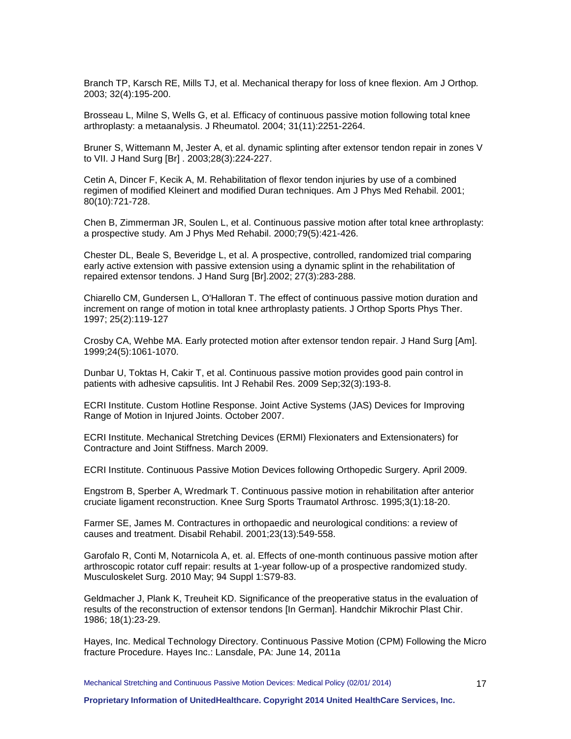Branch TP, Karsch RE, Mills TJ, et al. Mechanical therapy for loss of knee flexion. Am J Orthop*.*  2003; 32(4):195-200.

Brosseau L, Milne S, Wells G, et al. Efficacy of continuous passive motion following total knee arthroplasty: a metaanalysis. J Rheumatol. 2004; 31(11):2251-2264.

Bruner S, Wittemann M, Jester A, et al. dynamic splinting after extensor tendon repair in zones V to VII. J Hand Surg [Br] . 2003;28(3):224-227.

Cetin A, Dincer F, Kecik A, M. Rehabilitation of flexor tendon injuries by use of a combined regimen of modified Kleinert and modified Duran techniques. Am J Phys Med Rehabil. 2001; 80(10):721-728.

Chen B, Zimmerman JR, Soulen L, et al. Continuous passive motion after total knee arthroplasty: a prospective study. Am J Phys Med Rehabil. 2000;79(5):421-426.

Chester DL, Beale S, Beveridge L, et al. A prospective, controlled, randomized trial comparing early active extension with passive extension using a dynamic splint in the rehabilitation of repaired extensor tendons. J Hand Surg [Br].2002; 27(3):283-288.

Chiarello CM, Gundersen L, O'Halloran T. The effect of continuous passive motion duration and increment on range of motion in total knee arthroplasty patients. J Orthop Sports Phys Ther. 1997; 25(2):119-127

Crosby CA, Wehbe MA. Early protected motion after extensor tendon repair. J Hand Surg [Am]. 1999;24(5):1061-1070.

Dunbar U, Toktas H, Cakir T, et al. Continuous passive motion provides good pain control in patients with adhesive capsulitis. Int J Rehabil Res. 2009 Sep;32(3):193-8.

ECRI Institute. Custom Hotline Response. Joint Active Systems (JAS) Devices for Improving Range of Motion in Injured Joints. October 2007.

ECRI Institute. Mechanical Stretching Devices (ERMI) Flexionaters and Extensionaters) for Contracture and Joint Stiffness. March 2009.

ECRI Institute. Continuous Passive Motion Devices following Orthopedic Surgery. April 2009.

Engstrom B, Sperber A, Wredmark T. Continuous passive motion in rehabilitation after anterior cruciate ligament reconstruction. Knee Surg Sports Traumatol Arthrosc. 1995;3(1):18-20.

Farmer SE, James M. Contractures in orthopaedic and neurological conditions: a review of causes and treatment. Disabil Rehabil. 2001;23(13):549-558.

Garofalo R, Conti M, Notarnicola A, et. al. Effects of one-month continuous passive motion after arthroscopic rotator cuff repair: results at 1-year follow-up of a prospective randomized study. Musculoskelet Surg. 2010 May; 94 Suppl 1:S79-83.

Geldmacher J, Plank K, Treuheit KD. Significance of the preoperative status in the evaluation of results of the reconstruction of extensor tendons [In German]. Handchir Mikrochir Plast Chir. 1986; 18(1):23-29.

Hayes, Inc. Medical Technology Directory. Continuous Passive Motion (CPM) Following the Micro fracture Procedure. Hayes Inc.: Lansdale, PA: June 14, 2011a

Mechanical Stretching and Continuous Passive Motion Devices: Medical Policy (02/01/ 2014)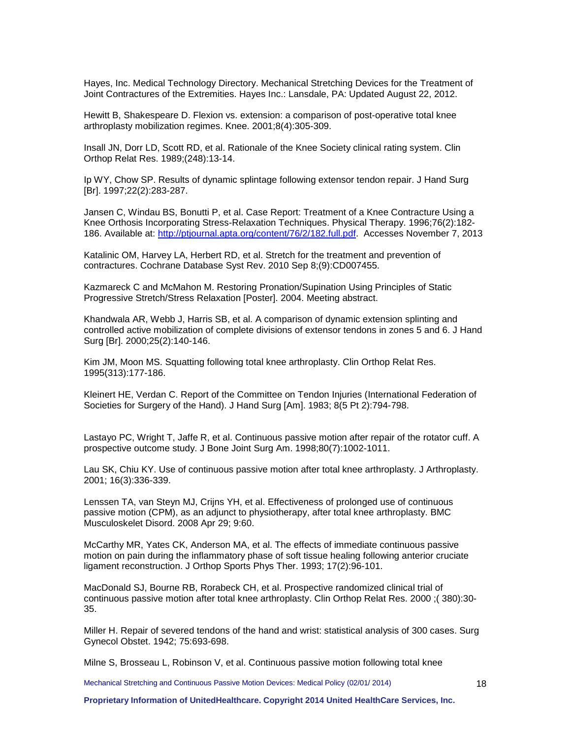Hayes, Inc. Medical Technology Directory. Mechanical Stretching Devices for the Treatment of Joint Contractures of the Extremities. Hayes Inc.: Lansdale, PA: Updated August 22, 2012.

Hewitt B, Shakespeare D. Flexion vs. extension: a comparison of post-operative total knee arthroplasty mobilization regimes. Knee. 2001;8(4):305-309.

Insall JN, Dorr LD, Scott RD, et al. Rationale of the Knee Society clinical rating system. Clin Orthop Relat Res. 1989;(248):13-14.

Ip WY, Chow SP. Results of dynamic splintage following extensor tendon repair. J Hand Surg [Br]. 1997;22(2):283-287.

Jansen C, Windau BS, Bonutti P, et al. Case Report: Treatment of a Knee Contracture Using a Knee Orthosis Incorporating Stress-Relaxation Techniques. Physical Therapy. 1996;76(2):182- 186. Available at: [http://ptjournal.apta.org/content/76/2/182.full.pdf.](http://ptjournal.apta.org/content/76/2/182.full.pdf) Accesses November 7, 2013

Katalinic OM, Harvey LA, Herbert RD, et al. Stretch for the treatment and prevention of contractures. Cochrane Database Syst Rev. 2010 Sep 8;(9):CD007455.

Kazmareck C and McMahon M. Restoring Pronation/Supination Using Principles of Static Progressive Stretch/Stress Relaxation [Poster]. 2004. Meeting abstract.

Khandwala AR, Webb J, Harris SB, et al. A comparison of dynamic extension splinting and controlled active mobilization of complete divisions of extensor tendons in zones 5 and 6. J Hand Surg [Br]. 2000;25(2):140-146.

Kim JM, Moon MS. Squatting following total knee arthroplasty. Clin Orthop Relat Res. 1995(313):177-186.

Kleinert HE, Verdan C. Report of the Committee on Tendon Injuries (International Federation of Societies for Surgery of the Hand). J Hand Surg [Am]. 1983; 8(5 Pt 2):794-798.

Lastayo PC, Wright T, Jaffe R, et al. Continuous passive motion after repair of the rotator cuff. A prospective outcome study. J Bone Joint Surg Am. 1998;80(7):1002-1011.

Lau SK, Chiu KY. Use of continuous passive motion after total knee arthroplasty. J Arthroplasty. 2001; 16(3):336-339.

Lenssen TA, van Steyn MJ, Crijns YH, et al. Effectiveness of prolonged use of continuous passive motion (CPM), as an adjunct to physiotherapy, after total knee arthroplasty. BMC Musculoskelet Disord. 2008 Apr 29; 9:60.

McCarthy MR, Yates CK, Anderson MA, et al. The effects of immediate continuous passive motion on pain during the inflammatory phase of soft tissue healing following anterior cruciate ligament reconstruction. J Orthop Sports Phys Ther. 1993; 17(2):96-101.

MacDonald SJ, Bourne RB, Rorabeck CH, et al. Prospective randomized clinical trial of continuous passive motion after total knee arthroplasty. Clin Orthop Relat Res. 2000 ;( 380):30- 35.

Miller H. Repair of severed tendons of the hand and wrist: statistical analysis of 300 cases. Surg Gynecol Obstet. 1942; 75:693-698.

Milne S, Brosseau L, Robinson V, et al. Continuous passive motion following total knee

Mechanical Stretching and Continuous Passive Motion Devices: Medical Policy (02/01/ 2014)